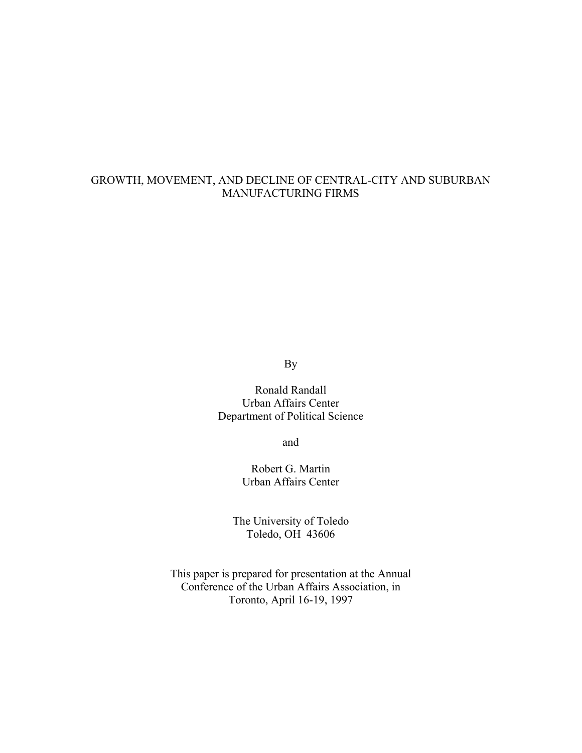## GROWTH, MOVEMENT, AND DECLINE OF CENTRAL-CITY AND SUBURBAN MANUFACTURING FIRMS

By

Ronald Randall Urban Affairs Center Department of Political Science

and

Robert G. Martin Urban Affairs Center

The University of Toledo Toledo, OH 43606

This paper is prepared for presentation at the Annual Conference of the Urban Affairs Association, in Toronto, April 16-19, 1997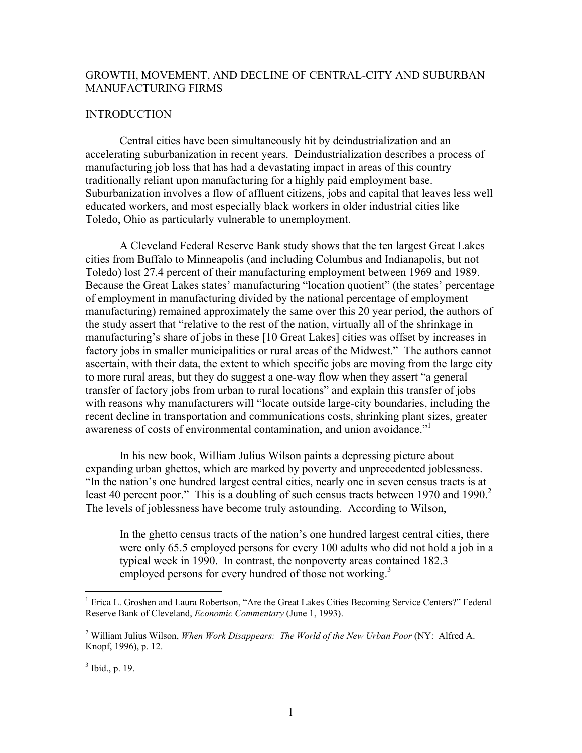## GROWTH, MOVEMENT, AND DECLINE OF CENTRAL-CITY AND SUBURBAN MANUFACTURING FIRMS

#### **INTRODUCTION**

 Central cities have been simultaneously hit by deindustrialization and an accelerating suburbanization in recent years. Deindustrialization describes a process of manufacturing job loss that has had a devastating impact in areas of this country traditionally reliant upon manufacturing for a highly paid employment base. Suburbanization involves a flow of affluent citizens, jobs and capital that leaves less well educated workers, and most especially black workers in older industrial cities like Toledo, Ohio as particularly vulnerable to unemployment.

 A Cleveland Federal Reserve Bank study shows that the ten largest Great Lakes cities from Buffalo to Minneapolis (and including Columbus and Indianapolis, but not Toledo) lost 27.4 percent of their manufacturing employment between 1969 and 1989. Because the Great Lakes states' manufacturing "location quotient" (the states' percentage of employment in manufacturing divided by the national percentage of employment manufacturing) remained approximately the same over this 20 year period, the authors of the study assert that "relative to the rest of the nation, virtually all of the shrinkage in manufacturing's share of jobs in these [10 Great Lakes] cities was offset by increases in factory jobs in smaller municipalities or rural areas of the Midwest." The authors cannot ascertain, with their data, the extent to which specific jobs are moving from the large city to more rural areas, but they do suggest a one-way flow when they assert "a general transfer of factory jobs from urban to rural locations" and explain this transfer of jobs with reasons why manufacturers will "locate outside large-city boundaries, including the recent decline in transportation and communications costs, shrinking plant sizes, greater awareness of costs of environmental contamination, and union avoidance."

 In his new book, William Julius Wilson paints a depressing picture about expanding urban ghettos, which are marked by poverty and unprecedented joblessness. "In the nation's one hundred largest central cities, nearly one in seven census tracts is at least 40 percent poor." This is a doubling of such census tracts between 1970 and 1990. $2$ The levels of joblessness have become truly astounding. According to Wilson,

In the ghetto census tracts of the nation's one hundred largest central cities, there were only 65.5 employed persons for every 100 adults who did not hold a job in a typical week in 1990. In contrast, the nonpoverty areas contained 182.3 employed persons for every hundred of those not working.<sup>3</sup>

 $\overline{a}$ 

<sup>&</sup>lt;sup>1</sup> Erica L. Groshen and Laura Robertson, "Are the Great Lakes Cities Becoming Service Centers?" Federal Reserve Bank of Cleveland, *Economic Commentary* (June 1, 1993).

<sup>2</sup> William Julius Wilson, *When Work Disappears: The World of the New Urban Poor* (NY: Alfred A. Knopf, 1996), p. 12.

 $3$  Ibid., p. 19.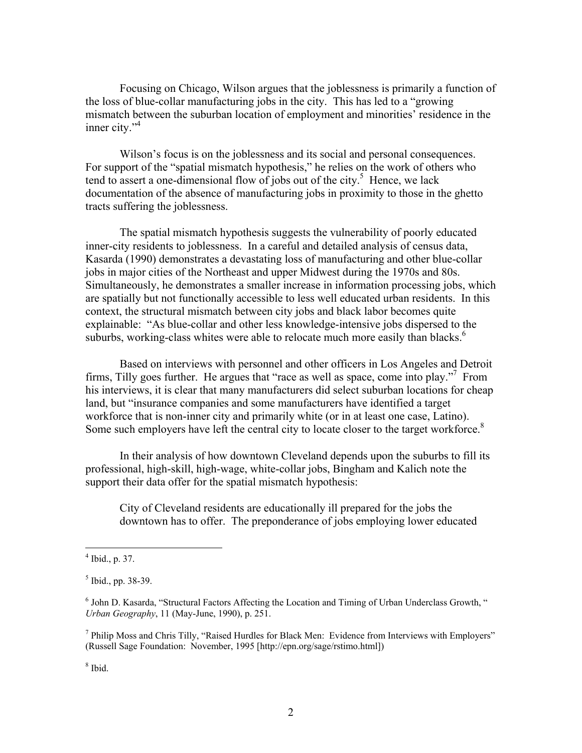Focusing on Chicago, Wilson argues that the joblessness is primarily a function of the loss of blue-collar manufacturing jobs in the city. This has led to a "growing mismatch between the suburban location of employment and minorities' residence in the inner city."<sup>4</sup>

Wilson's focus is on the joblessness and its social and personal consequences. For support of the "spatial mismatch hypothesis," he relies on the work of others who tend to assert a one-dimensional flow of jobs out of the city.<sup>5</sup> Hence, we lack documentation of the absence of manufacturing jobs in proximity to those in the ghetto tracts suffering the joblessness.

 The spatial mismatch hypothesis suggests the vulnerability of poorly educated inner-city residents to joblessness. In a careful and detailed analysis of census data, Kasarda (1990) demonstrates a devastating loss of manufacturing and other blue-collar jobs in major cities of the Northeast and upper Midwest during the 1970s and 80s. Simultaneously, he demonstrates a smaller increase in information processing jobs, which are spatially but not functionally accessible to less well educated urban residents. In this context, the structural mismatch between city jobs and black labor becomes quite explainable: "As blue-collar and other less knowledge-intensive jobs dispersed to the suburbs, working-class whites were able to relocate much more easily than blacks.<sup>6</sup>

 Based on interviews with personnel and other officers in Los Angeles and Detroit firms, Tilly goes further. He argues that "race as well as space, come into play."<sup>7</sup> From his interviews, it is clear that many manufacturers did select suburban locations for cheap land, but "insurance companies and some manufacturers have identified a target workforce that is non-inner city and primarily white (or in at least one case, Latino). Some such employers have left the central city to locate closer to the target workforce.<sup>8</sup>

 In their analysis of how downtown Cleveland depends upon the suburbs to fill its professional, high-skill, high-wage, white-collar jobs, Bingham and Kalich note the support their data offer for the spatial mismatch hypothesis:

City of Cleveland residents are educationally ill prepared for the jobs the downtown has to offer. The preponderance of jobs employing lower educated

8 Ibid.

 $4$  Ibid., p. 37.

<sup>&</sup>lt;sup>5</sup> Ibid., pp. 38-39.

<sup>&</sup>lt;sup>6</sup> John D. Kasarda, "Structural Factors Affecting the Location and Timing of Urban Underclass Growth, " *Urban Geography*, 11 (May-June, 1990), p. 251.

<sup>&</sup>lt;sup>7</sup> Philip Moss and Chris Tilly, "Raised Hurdles for Black Men: Evidence from Interviews with Employers" (Russell Sage Foundation: November, 1995 [http://epn.org/sage/rstimo.html])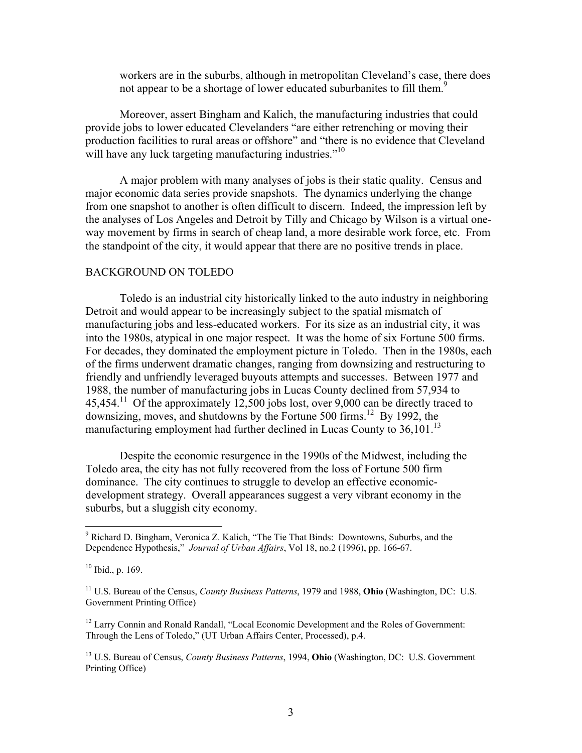workers are in the suburbs, although in metropolitan Cleveland's case, there does not appear to be a shortage of lower educated suburbanites to fill them.<sup>9</sup>

 Moreover, assert Bingham and Kalich, the manufacturing industries that could provide jobs to lower educated Clevelanders "are either retrenching or moving their production facilities to rural areas or offshore" and "there is no evidence that Cleveland will have any luck targeting manufacturing industries."<sup>10</sup>

 A major problem with many analyses of jobs is their static quality. Census and major economic data series provide snapshots. The dynamics underlying the change from one snapshot to another is often difficult to discern. Indeed, the impression left by the analyses of Los Angeles and Detroit by Tilly and Chicago by Wilson is a virtual oneway movement by firms in search of cheap land, a more desirable work force, etc. From the standpoint of the city, it would appear that there are no positive trends in place.

## BACKGROUND ON TOLEDO

 Toledo is an industrial city historically linked to the auto industry in neighboring Detroit and would appear to be increasingly subject to the spatial mismatch of manufacturing jobs and less-educated workers. For its size as an industrial city, it was into the 1980s, atypical in one major respect. It was the home of six Fortune 500 firms. For decades, they dominated the employment picture in Toledo. Then in the 1980s, each of the firms underwent dramatic changes, ranging from downsizing and restructuring to friendly and unfriendly leveraged buyouts attempts and successes. Between 1977 and 1988, the number of manufacturing jobs in Lucas County declined from 57,934 to 45,454.<sup>11</sup> Of the approximately 12,500 jobs lost, over 9,000 can be directly traced to downsizing, moves, and shutdowns by the Fortune 500 firms.<sup>12</sup> By 1992, the manufacturing employment had further declined in Lucas County to  $36,101$ .<sup>13</sup>

 Despite the economic resurgence in the 1990s of the Midwest, including the Toledo area, the city has not fully recovered from the loss of Fortune 500 firm dominance. The city continues to struggle to develop an effective economicdevelopment strategy. Overall appearances suggest a very vibrant economy in the suburbs, but a sluggish city economy.

 $\overline{a}$ 

<sup>12</sup> Larry Connin and Ronald Randall, "Local Economic Development and the Roles of Government: Through the Lens of Toledo," (UT Urban Affairs Center, Processed), p.4.

<sup>&</sup>lt;sup>9</sup> Richard D. Bingham, Veronica Z. Kalich, "The Tie That Binds: Downtowns, Suburbs, and the Dependence Hypothesis," *Journal of Urban Affairs*, Vol 18, no.2 (1996), pp. 166-67.

 $10$  Ibid., p. 169.

<sup>11</sup> U.S. Bureau of the Census, *County Business Patterns*, 1979 and 1988, **Ohio** (Washington, DC: U.S. Government Printing Office)

<sup>13</sup> U.S. Bureau of Census, *County Business Patterns*, 1994, **Ohio** (Washington, DC: U.S. Government Printing Office)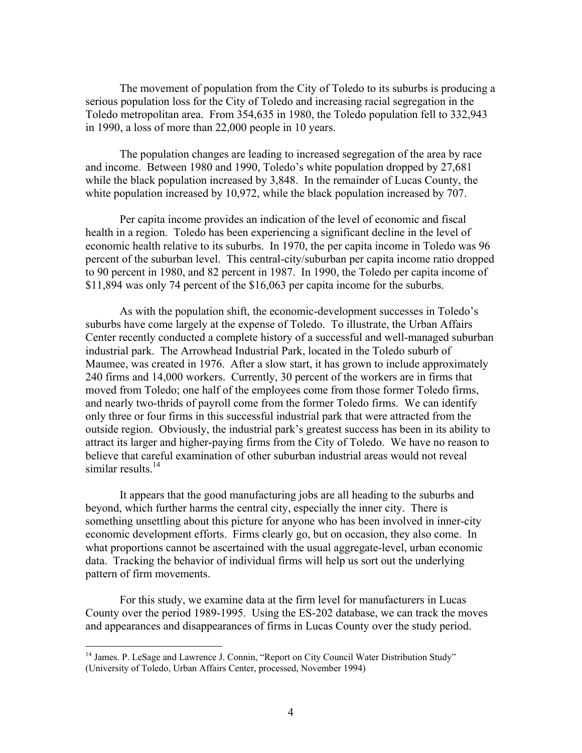The movement of population from the City of Toledo to its suburbs is producing a serious population loss for the City of Toledo and increasing racial segregation in the Toledo metropolitan area. From 354,635 in 1980, the Toledo population fell to 332,943 in 1990, a loss of more than 22,000 people in 10 years.

 The population changes are leading to increased segregation of the area by race and income. Between 1980 and 1990, Toledo's white population dropped by 27,681 while the black population increased by 3,848. In the remainder of Lucas County, the white population increased by 10,972, while the black population increased by 707.

 Per capita income provides an indication of the level of economic and fiscal health in a region. Toledo has been experiencing a significant decline in the level of economic health relative to its suburbs. In 1970, the per capita income in Toledo was 96 percent of the suburban level. This central-city/suburban per capita income ratio dropped to 90 percent in 1980, and 82 percent in 1987. In 1990, the Toledo per capita income of \$11,894 was only 74 percent of the \$16,063 per capita income for the suburbs.

 As with the population shift, the economic-development successes in Toledo's suburbs have come largely at the expense of Toledo. To illustrate, the Urban Affairs Center recently conducted a complete history of a successful and well-managed suburban industrial park. The Arrowhead Industrial Park, located in the Toledo suburb of Maumee, was created in 1976. After a slow start, it has grown to include approximately 240 firms and 14,000 workers. Currently, 30 percent of the workers are in firms that moved from Toledo; one half of the employees come from those former Toledo firms, and nearly two-thrids of payroll come from the former Toledo firms. We can identify only three or four firms in this successful industrial park that were attracted from the outside region. Obviously, the industrial park's greatest success has been in its ability to attract its larger and higher-paying firms from the City of Toledo. We have no reason to believe that careful examination of other suburban industrial areas would not reveal similar results.<sup>14</sup>

 It appears that the good manufacturing jobs are all heading to the suburbs and beyond, which further harms the central city, especially the inner city. There is something unsettling about this picture for anyone who has been involved in inner-city economic development efforts. Firms clearly go, but on occasion, they also come. In what proportions cannot be ascertained with the usual aggregate-level, urban economic data. Tracking the behavior of individual firms will help us sort out the underlying pattern of firm movements.

 For this study, we examine data at the firm level for manufacturers in Lucas County over the period 1989-1995. Using the ES-202 database, we can track the moves and appearances and disappearances of firms in Lucas County over the study period.

 $\overline{a}$ 

<sup>&</sup>lt;sup>14</sup> James. P. LeSage and Lawrence J. Connin, "Report on City Council Water Distribution Study" (University of Toledo, Urban Affairs Center, processed, November 1994)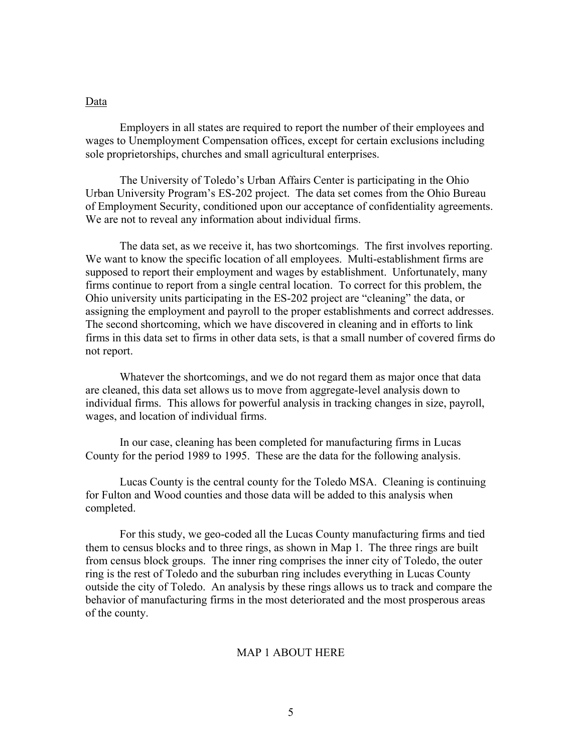#### Data

 Employers in all states are required to report the number of their employees and wages to Unemployment Compensation offices, except for certain exclusions including sole proprietorships, churches and small agricultural enterprises.

 The University of Toledo's Urban Affairs Center is participating in the Ohio Urban University Program's ES-202 project. The data set comes from the Ohio Bureau of Employment Security, conditioned upon our acceptance of confidentiality agreements. We are not to reveal any information about individual firms.

 The data set, as we receive it, has two shortcomings. The first involves reporting. We want to know the specific location of all employees. Multi-establishment firms are supposed to report their employment and wages by establishment. Unfortunately, many firms continue to report from a single central location. To correct for this problem, the Ohio university units participating in the ES-202 project are "cleaning" the data, or assigning the employment and payroll to the proper establishments and correct addresses. The second shortcoming, which we have discovered in cleaning and in efforts to link firms in this data set to firms in other data sets, is that a small number of covered firms do not report.

 Whatever the shortcomings, and we do not regard them as major once that data are cleaned, this data set allows us to move from aggregate-level analysis down to individual firms. This allows for powerful analysis in tracking changes in size, payroll, wages, and location of individual firms.

 In our case, cleaning has been completed for manufacturing firms in Lucas County for the period 1989 to 1995. These are the data for the following analysis.

 Lucas County is the central county for the Toledo MSA. Cleaning is continuing for Fulton and Wood counties and those data will be added to this analysis when completed.

 For this study, we geo-coded all the Lucas County manufacturing firms and tied them to census blocks and to three rings, as shown in Map 1. The three rings are built from census block groups. The inner ring comprises the inner city of Toledo, the outer ring is the rest of Toledo and the suburban ring includes everything in Lucas County outside the city of Toledo. An analysis by these rings allows us to track and compare the behavior of manufacturing firms in the most deteriorated and the most prosperous areas of the county.

#### MAP 1 ABOUT HERE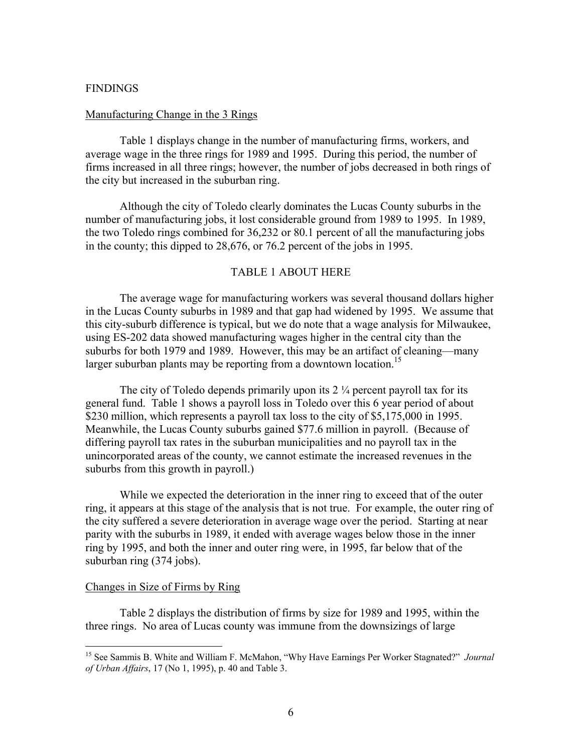#### **FINDINGS**

#### Manufacturing Change in the 3 Rings

 Table 1 displays change in the number of manufacturing firms, workers, and average wage in the three rings for 1989 and 1995. During this period, the number of firms increased in all three rings; however, the number of jobs decreased in both rings of the city but increased in the suburban ring.

 Although the city of Toledo clearly dominates the Lucas County suburbs in the number of manufacturing jobs, it lost considerable ground from 1989 to 1995. In 1989, the two Toledo rings combined for 36,232 or 80.1 percent of all the manufacturing jobs in the county; this dipped to 28,676, or 76.2 percent of the jobs in 1995.

### TABLE 1 ABOUT HERE

 The average wage for manufacturing workers was several thousand dollars higher in the Lucas County suburbs in 1989 and that gap had widened by 1995. We assume that this city-suburb difference is typical, but we do note that a wage analysis for Milwaukee, using ES-202 data showed manufacturing wages higher in the central city than the suburbs for both 1979 and 1989. However, this may be an artifact of cleaning—many larger suburban plants may be reporting from a downtown location.<sup>15</sup>

The city of Toledo depends primarily upon its  $2\frac{1}{4}$  percent payroll tax for its general fund. Table 1 shows a payroll loss in Toledo over this 6 year period of about \$230 million, which represents a payroll tax loss to the city of \$5,175,000 in 1995. Meanwhile, the Lucas County suburbs gained \$77.6 million in payroll. (Because of differing payroll tax rates in the suburban municipalities and no payroll tax in the unincorporated areas of the county, we cannot estimate the increased revenues in the suburbs from this growth in payroll.)

 While we expected the deterioration in the inner ring to exceed that of the outer ring, it appears at this stage of the analysis that is not true. For example, the outer ring of the city suffered a severe deterioration in average wage over the period. Starting at near parity with the suburbs in 1989, it ended with average wages below those in the inner ring by 1995, and both the inner and outer ring were, in 1995, far below that of the suburban ring (374 jobs).

#### Changes in Size of Firms by Ring

 $\overline{a}$ 

 Table 2 displays the distribution of firms by size for 1989 and 1995, within the three rings. No area of Lucas county was immune from the downsizings of large

<sup>15</sup> See Sammis B. White and William F. McMahon, "Why Have Earnings Per Worker Stagnated?" *Journal of Urban Affairs*, 17 (No 1, 1995), p. 40 and Table 3.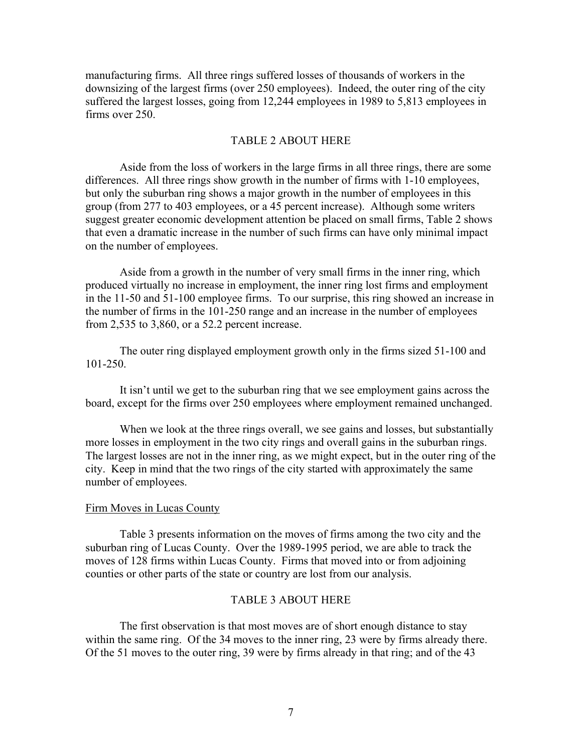manufacturing firms. All three rings suffered losses of thousands of workers in the downsizing of the largest firms (over 250 employees). Indeed, the outer ring of the city suffered the largest losses, going from 12,244 employees in 1989 to 5,813 employees in firms over 250.

#### TABLE 2 ABOUT HERE

 Aside from the loss of workers in the large firms in all three rings, there are some differences. All three rings show growth in the number of firms with 1-10 employees, but only the suburban ring shows a major growth in the number of employees in this group (from 277 to 403 employees, or a 45 percent increase). Although some writers suggest greater economic development attention be placed on small firms, Table 2 shows that even a dramatic increase in the number of such firms can have only minimal impact on the number of employees.

 Aside from a growth in the number of very small firms in the inner ring, which produced virtually no increase in employment, the inner ring lost firms and employment in the 11-50 and 51-100 employee firms. To our surprise, this ring showed an increase in the number of firms in the 101-250 range and an increase in the number of employees from 2,535 to 3,860, or a 52.2 percent increase.

 The outer ring displayed employment growth only in the firms sized 51-100 and 101-250.

 It isn't until we get to the suburban ring that we see employment gains across the board, except for the firms over 250 employees where employment remained unchanged.

When we look at the three rings overall, we see gains and losses, but substantially more losses in employment in the two city rings and overall gains in the suburban rings. The largest losses are not in the inner ring, as we might expect, but in the outer ring of the city. Keep in mind that the two rings of the city started with approximately the same number of employees.

#### Firm Moves in Lucas County

 Table 3 presents information on the moves of firms among the two city and the suburban ring of Lucas County. Over the 1989-1995 period, we are able to track the moves of 128 firms within Lucas County. Firms that moved into or from adjoining counties or other parts of the state or country are lost from our analysis.

#### TABLE 3 ABOUT HERE

 The first observation is that most moves are of short enough distance to stay within the same ring. Of the 34 moves to the inner ring, 23 were by firms already there. Of the 51 moves to the outer ring, 39 were by firms already in that ring; and of the 43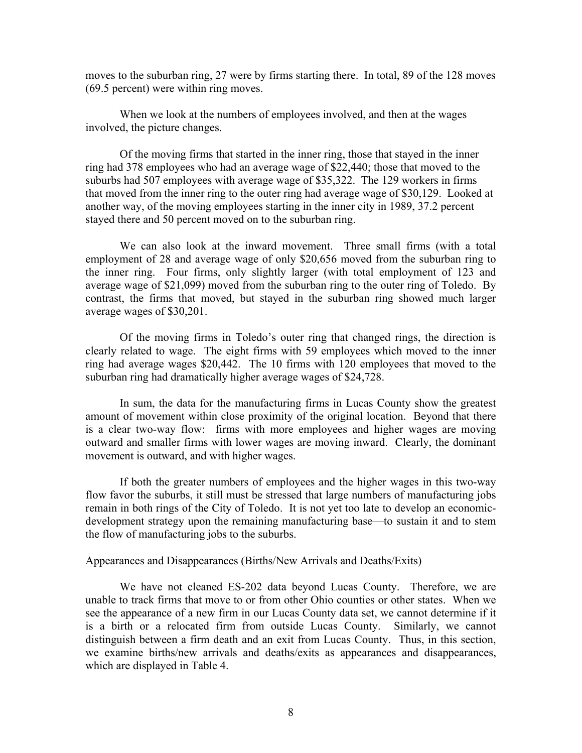moves to the suburban ring, 27 were by firms starting there. In total, 89 of the 128 moves (69.5 percent) were within ring moves.

 When we look at the numbers of employees involved, and then at the wages involved, the picture changes.

 Of the moving firms that started in the inner ring, those that stayed in the inner ring had 378 employees who had an average wage of \$22,440; those that moved to the suburbs had 507 employees with average wage of \$35,322. The 129 workers in firms that moved from the inner ring to the outer ring had average wage of \$30,129. Looked at another way, of the moving employees starting in the inner city in 1989, 37.2 percent stayed there and 50 percent moved on to the suburban ring.

 We can also look at the inward movement. Three small firms (with a total employment of 28 and average wage of only \$20,656 moved from the suburban ring to the inner ring. Four firms, only slightly larger (with total employment of 123 and average wage of \$21,099) moved from the suburban ring to the outer ring of Toledo. By contrast, the firms that moved, but stayed in the suburban ring showed much larger average wages of \$30,201.

 Of the moving firms in Toledo's outer ring that changed rings, the direction is clearly related to wage. The eight firms with 59 employees which moved to the inner ring had average wages \$20,442. The 10 firms with 120 employees that moved to the suburban ring had dramatically higher average wages of \$24,728.

 In sum, the data for the manufacturing firms in Lucas County show the greatest amount of movement within close proximity of the original location. Beyond that there is a clear two-way flow: firms with more employees and higher wages are moving outward and smaller firms with lower wages are moving inward. Clearly, the dominant movement is outward, and with higher wages.

 If both the greater numbers of employees and the higher wages in this two-way flow favor the suburbs, it still must be stressed that large numbers of manufacturing jobs remain in both rings of the City of Toledo. It is not yet too late to develop an economicdevelopment strategy upon the remaining manufacturing base—to sustain it and to stem the flow of manufacturing jobs to the suburbs.

#### Appearances and Disappearances (Births/New Arrivals and Deaths/Exits)

 We have not cleaned ES-202 data beyond Lucas County. Therefore, we are unable to track firms that move to or from other Ohio counties or other states. When we see the appearance of a new firm in our Lucas County data set, we cannot determine if it is a birth or a relocated firm from outside Lucas County. Similarly, we cannot distinguish between a firm death and an exit from Lucas County. Thus, in this section, we examine births/new arrivals and deaths/exits as appearances and disappearances, which are displayed in Table 4.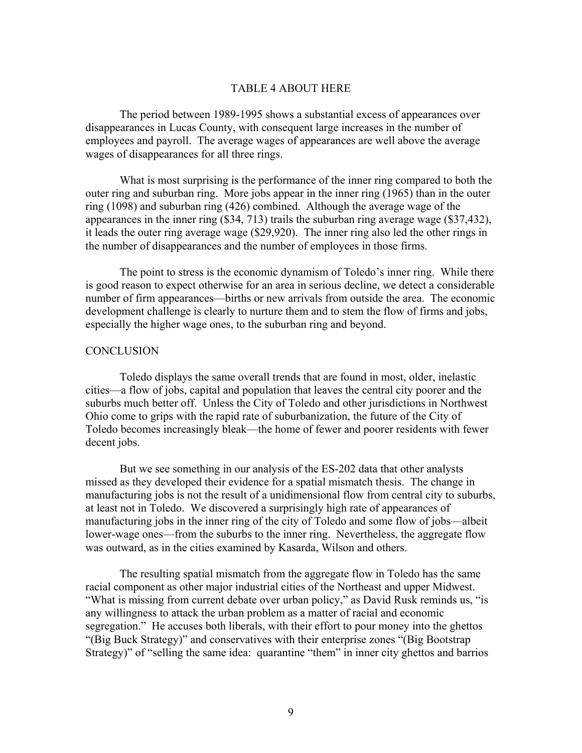#### TABLE 4 ABOUT HERE

 The period between 1989-1995 shows a substantial excess of appearances over disappearances in Lucas County, with consequent large increases in the number of employees and payroll. The average wages of appearances are well above the average wages of disappearances for all three rings.

 What is most surprising is the performance of the inner ring compared to both the outer ring and suburban ring. More jobs appear in the inner ring (1965) than in the outer ring (1098) and suburban ring (426) combined. Although the average wage of the appearances in the inner ring (\$34, 713) trails the suburban ring average wage (\$37,432), it leads the outer ring average wage (\$29,920). The inner ring also led the other rings in the number of disappearances and the number of employees in those firms.

 The point to stress is the economic dynamism of Toledo's inner ring. While there is good reason to expect otherwise for an area in serious decline, we detect a considerable number of firm appearances—births or new arrivals from outside the area. The economic development challenge is clearly to nurture them and to stem the flow of firms and jobs, especially the higher wage ones, to the suburban ring and beyond.

### **CONCLUSION**

 Toledo displays the same overall trends that are found in most, older, inelastic cities—a flow of jobs, capital and population that leaves the central city poorer and the suburbs much better off. Unless the City of Toledo and other jurisdictions in Northwest Ohio come to grips with the rapid rate of suburbanization, the future of the City of Toledo becomes increasingly bleak—the home of fewer and poorer residents with fewer decent jobs.

 But we see something in our analysis of the ES-202 data that other analysts missed as they developed their evidence for a spatial mismatch thesis. The change in manufacturing jobs is not the result of a unidimensional flow from central city to suburbs, at least not in Toledo. We discovered a surprisingly high rate of appearances of manufacturing jobs in the inner ring of the city of Toledo and some flow of jobs—albeit lower-wage ones—from the suburbs to the inner ring. Nevertheless, the aggregate flow was outward, as in the cities examined by Kasarda, Wilson and others.

 The resulting spatial mismatch from the aggregate flow in Toledo has the same racial component as other major industrial cities of the Northeast and upper Midwest. "What is missing from current debate over urban policy," as David Rusk reminds us, "is any willingness to attack the urban problem as a matter of racial and economic segregation." He accuses both liberals, with their effort to pour money into the ghettos "(Big Buck Strategy)" and conservatives with their enterprise zones "(Big Bootstrap Strategy)" of "selling the same idea: quarantine "them" in inner city ghettos and barrios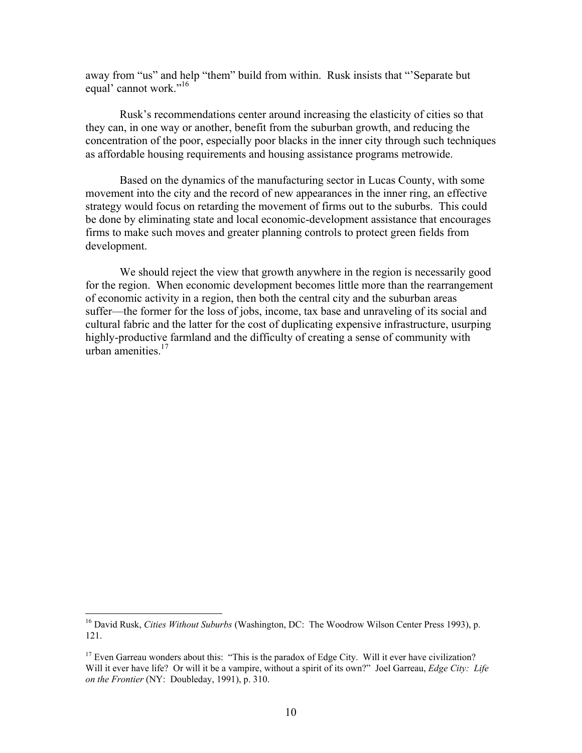away from "us" and help "them" build from within. Rusk insists that "'Separate but equal' cannot work."<sup>16</sup>

 Rusk's recommendations center around increasing the elasticity of cities so that they can, in one way or another, benefit from the suburban growth, and reducing the concentration of the poor, especially poor blacks in the inner city through such techniques as affordable housing requirements and housing assistance programs metrowide.

 Based on the dynamics of the manufacturing sector in Lucas County, with some movement into the city and the record of new appearances in the inner ring, an effective strategy would focus on retarding the movement of firms out to the suburbs. This could be done by eliminating state and local economic-development assistance that encourages firms to make such moves and greater planning controls to protect green fields from development.

 We should reject the view that growth anywhere in the region is necessarily good for the region. When economic development becomes little more than the rearrangement of economic activity in a region, then both the central city and the suburban areas suffer—the former for the loss of jobs, income, tax base and unraveling of its social and cultural fabric and the latter for the cost of duplicating expensive infrastructure, usurping highly-productive farmland and the difficulty of creating a sense of community with urban amenities.<sup>17</sup>

 $\overline{a}$ 

<sup>16</sup> David Rusk, *Cities Without Suburbs* (Washington, DC: The Woodrow Wilson Center Press 1993), p. 121.

<sup>&</sup>lt;sup>17</sup> Even Garreau wonders about this: "This is the paradox of Edge City. Will it ever have civilization? Will it ever have life? Or will it be a vampire, without a spirit of its own?" Joel Garreau, *Edge City: Life on the Frontier* (NY: Doubleday, 1991), p. 310.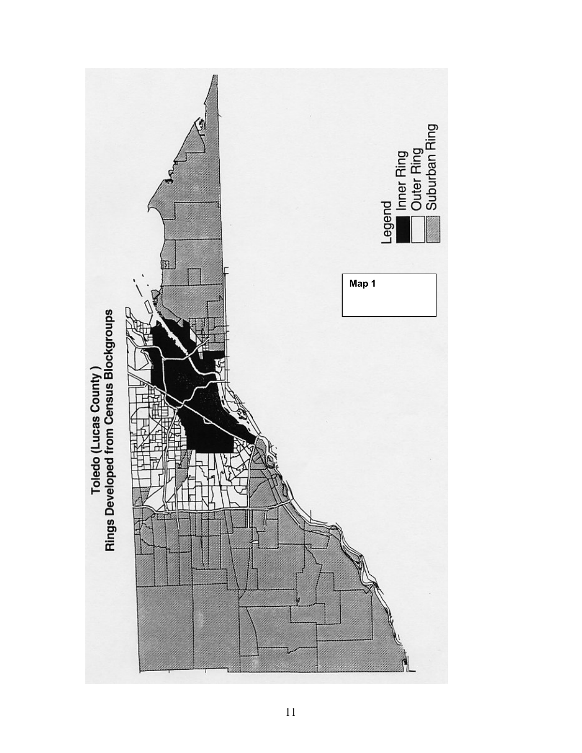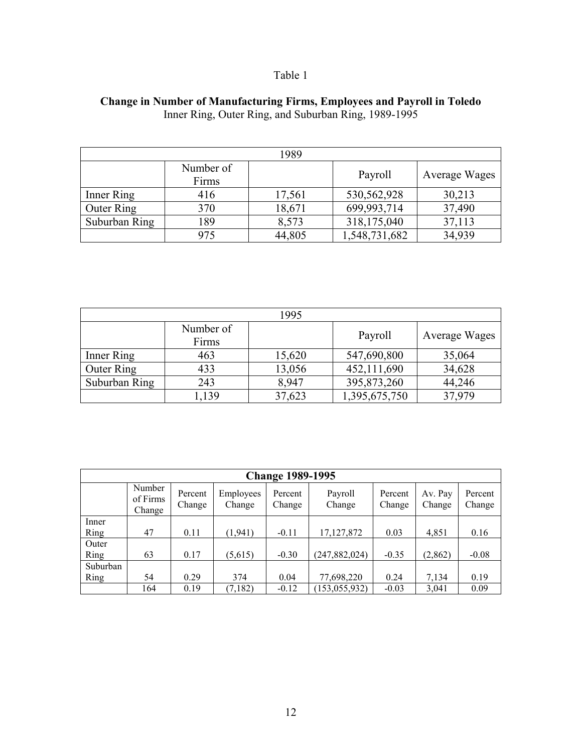## **Change in Number of Manufacturing Firms, Employees and Payroll in Toledo**  Inner Ring, Outer Ring, and Suburban Ring, 1989-1995

|               |                    | 1989   |               |               |
|---------------|--------------------|--------|---------------|---------------|
|               | Number of<br>Firms |        | Payroll       | Average Wages |
| Inner Ring    | 416                | 17,561 | 530,562,928   | 30,213        |
| Outer Ring    | 370                | 18,671 | 699,993,714   | 37,490        |
| Suburban Ring | 189                | 8,573  | 318,175,040   | 37,113        |
|               | 975                | 44,805 | 1,548,731,682 | 34,939        |

| 1995              |                    |        |               |               |  |  |  |  |
|-------------------|--------------------|--------|---------------|---------------|--|--|--|--|
|                   | Number of<br>Firms |        | Payroll       | Average Wages |  |  |  |  |
| Inner Ring        | 463                | 15,620 | 547,690,800   | 35,064        |  |  |  |  |
| <b>Outer Ring</b> | 433                | 13,056 | 452,111,690   | 34,628        |  |  |  |  |
| Suburban Ring     | 243                | 8,947  | 395,873,260   | 44,246        |  |  |  |  |
|                   | .139               | 37,623 | 1,395,675,750 | 37.979        |  |  |  |  |

|          | <b>Change 1989-1995</b>      |                   |                     |                   |                   |                   |                   |                   |  |
|----------|------------------------------|-------------------|---------------------|-------------------|-------------------|-------------------|-------------------|-------------------|--|
|          | Number<br>of Firms<br>Change | Percent<br>Change | Employees<br>Change | Percent<br>Change | Payroll<br>Change | Percent<br>Change | Av. Pay<br>Change | Percent<br>Change |  |
| Inner    |                              |                   |                     |                   |                   |                   |                   |                   |  |
| Ring     | 47                           | 0.11              | (1, 941)            | $-0.11$           | 17, 127, 872      | 0.03              | 4,851             | 0.16              |  |
| Outer    |                              |                   |                     |                   |                   |                   |                   |                   |  |
| Ring     | 63                           | 0.17              | (5,615)             | $-0.30$           | (247, 882, 024)   | $-0.35$           | (2, 862)          | $-0.08$           |  |
| Suburban |                              |                   |                     |                   |                   |                   |                   |                   |  |
| Ring     | 54                           | 0.29              | 374                 | 0.04              | 77,698,220        | 0.24              | 7,134             | 0.19              |  |
|          | 164                          | 0.19              | (7, 182)            | $-0.12$           | (153, 055, 932)   | $-0.03$           | 3,041             | 0.09              |  |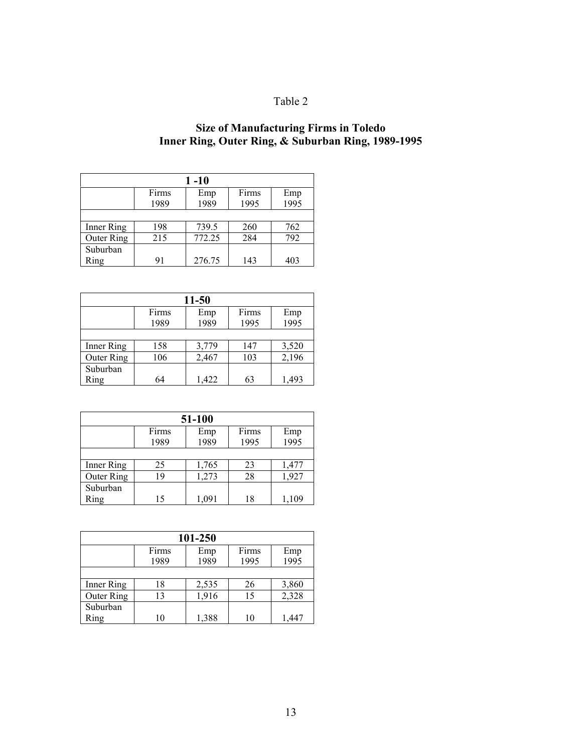## **Size of Manufacturing Firms in Toledo Inner Ring, Outer Ring, & Suburban Ring, 1989-1995**

| 1 -10      |       |        |       |             |  |  |  |
|------------|-------|--------|-------|-------------|--|--|--|
|            | Firms | Emp    | Firms |             |  |  |  |
|            | 1989  | 1989   | 1995  | Emp<br>1995 |  |  |  |
|            |       |        |       |             |  |  |  |
| Inner Ring | 198   | 739.5  | 260   | 762         |  |  |  |
| Outer Ring | 215   | 772.25 | 284   | 792         |  |  |  |
| Suburban   |       |        |       |             |  |  |  |
| Ring       | 91    | 276.75 | 143   | 403         |  |  |  |

| 11-50             |                              |       |      |       |  |  |  |
|-------------------|------------------------------|-------|------|-------|--|--|--|
|                   | Firms<br>Firms<br>Emp<br>Emp |       |      |       |  |  |  |
|                   | 1989                         | 1989  | 1995 | 1995  |  |  |  |
|                   |                              |       |      |       |  |  |  |
| Inner Ring        | 158                          | 3,779 | 147  | 3,520 |  |  |  |
| <b>Outer Ring</b> | 106                          | 2,467 | 103  | 2,196 |  |  |  |
| Suburban          |                              |       |      |       |  |  |  |
| Ring              | 64                           | 1,422 | 63   | 1,493 |  |  |  |

| 51-100            |       |       |      |       |  |  |  |
|-------------------|-------|-------|------|-------|--|--|--|
|                   | Firms | Emp   |      |       |  |  |  |
|                   | 1989  | 1989  | 1995 | 1995  |  |  |  |
|                   |       |       |      |       |  |  |  |
| Inner Ring        | 25    | 1,765 | 23   | 1,477 |  |  |  |
| <b>Outer Ring</b> | 19    | 1,273 | 28   | 1,927 |  |  |  |
| Suburban          |       |       |      |       |  |  |  |
| Ring              | 15    | 1,091 | 18   | 1.109 |  |  |  |

| 101-250    |       |       |       |       |  |  |  |
|------------|-------|-------|-------|-------|--|--|--|
|            | Firms | Emp   | Firms | Emp   |  |  |  |
|            | 1989  | 1989  | 1995  | 1995  |  |  |  |
|            |       |       |       |       |  |  |  |
| Inner Ring | 18    | 2,535 | 26    | 3,860 |  |  |  |
| Outer Ring | 13    | 1,916 | 15    | 2,328 |  |  |  |
| Suburban   |       |       |       |       |  |  |  |
| Ring       | 10    | 1,388 | 10    |       |  |  |  |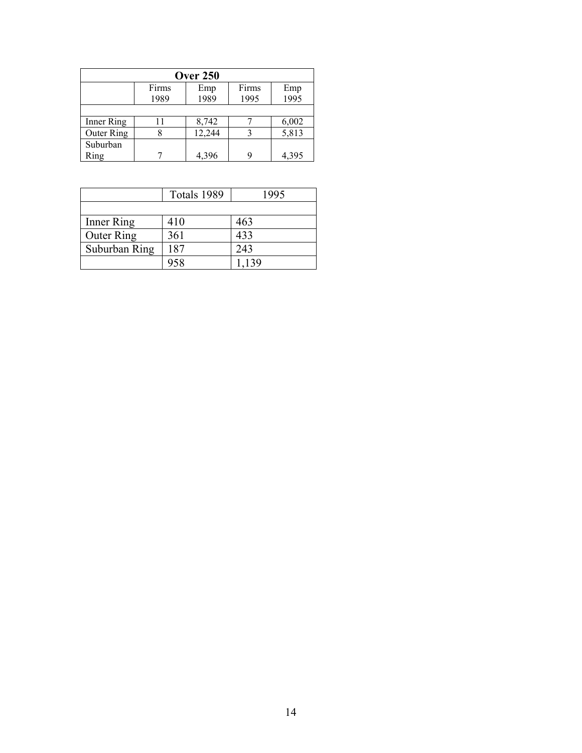| <b>Over 250</b>   |               |             |   |       |  |  |  |
|-------------------|---------------|-------------|---|-------|--|--|--|
|                   | Firms<br>1989 | Emp<br>1995 |   |       |  |  |  |
|                   |               |             |   |       |  |  |  |
| Inner Ring        |               | 8,742       |   | 6,002 |  |  |  |
| <b>Outer Ring</b> |               | 12,244      |   | 5,813 |  |  |  |
| Suburban          |               |             |   |       |  |  |  |
| Ring              |               | 4,396       | g | 4,395 |  |  |  |

|               | Totals 1989 | 1995  |
|---------------|-------------|-------|
|               |             |       |
| Inner Ring    | 410         | 463   |
| Outer Ring    | 361         | 433   |
| Suburban Ring | 187         | 243   |
|               | 958         | 1,139 |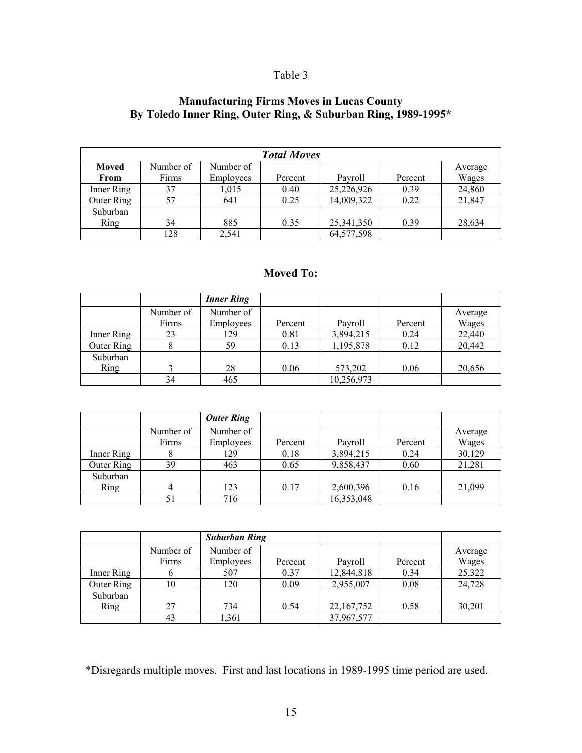## **Manufacturing Firms Moves in Lucas County By Toledo Inner Ring, Outer Ring, & Suburban Ring, 1989-1995\***

|            |           |           | <b>Total Moves</b> |            |         |         |
|------------|-----------|-----------|--------------------|------------|---------|---------|
| Moved      | Number of | Number of |                    |            |         | Average |
| From       | Firms     | Employees | Percent            | Pavroll    | Percent | Wages   |
| Inner Ring | 37        | 1.015     | 0.40               | 25,226,926 | 0.39    | 24,860  |
| Outer Ring | 57        | 641       | 0.25               | 14,009,322 | 0.22    | 21,847  |
| Suburban   |           |           |                    |            |         |         |
| Ring       | 34        | 885       | 0.35               | 25,341,350 | 0.39    | 28,634  |
|            | 128       | 2,541     |                    | 64,577,598 |         |         |

## **Moved To:**

|            |           | <b>Inner Ring</b> |         |            |         |         |
|------------|-----------|-------------------|---------|------------|---------|---------|
|            | Number of | Number of         |         |            |         | Average |
|            | Firms     | Employees         | Percent | Payroll    | Percent | Wages   |
| Inner Ring | 23        | 129               | 0.81    | 3,894,215  | 0.24    | 22,440  |
| Outer Ring |           | 59                | 0.13    | 1,195,878  | 0.12    | 20,442  |
| Suburban   |           |                   |         |            |         |         |
| Ring       |           | 28                | 0.06    | 573,202    | 0.06    | 20,656  |
|            | 34        | 465               |         | 10,256,973 |         |         |

|            |           | <b>Outer Ring</b> |         |            |         |         |
|------------|-----------|-------------------|---------|------------|---------|---------|
|            | Number of | Number of         |         |            |         | Average |
|            | Firms     | <b>Employees</b>  | Percent | Pavroll    | Percent | Wages   |
| Inner Ring | 8         | 129               | 0.18    | 3,894,215  | 0.24    | 30,129  |
| Outer Ring | 39        | 463               | 0.65    | 9,858,437  | 0.60    | 21,281  |
| Suburban   |           |                   |         |            |         |         |
| Ring       |           | 123               | 0.17    | 2,600,396  | 0.16    | 21,099  |
|            | 51        | 716               |         | 16,353,048 |         |         |

|            |           | <b>Suburban Ring</b> |         |            |         |         |
|------------|-----------|----------------------|---------|------------|---------|---------|
|            | Number of | Number of            |         |            |         | Average |
|            | Firms     | <b>Employees</b>     | Percent | Pavroll    | Percent | Wages   |
| Inner Ring | o         | 507                  | 0.37    | 12,844,818 | 0.34    | 25,322  |
| Outer Ring | 10        | 120                  | 0.09    | 2,955,007  | 0.08    | 24,728  |
| Suburban   |           |                      |         |            |         |         |
| Ring       | 27        | 734                  | 0.54    | 22,167,752 | 0.58    | 30,201  |
|            | 43        | 1,361                |         | 37,967,577 |         |         |

\*Disregards multiple moves. First and last locations in 1989-1995 time period are used.